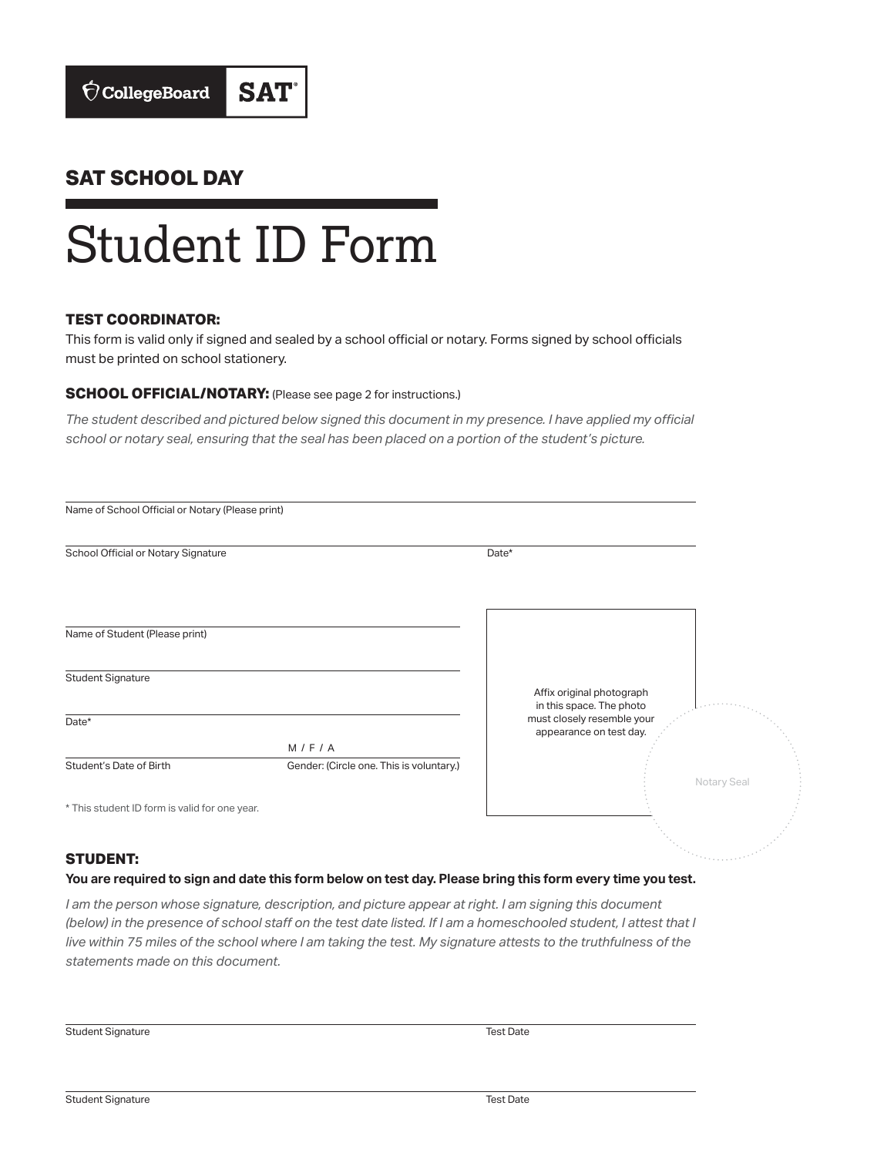### **SAT SCHOOL DAY**

# Student ID Form

#### **TEST COORDINATOR:**

This form is valid only if signed and sealed by a school official or notary. Forms signed by school officials must be printed on school stationery.

#### **SCHOOL OFFICIAL/NOTARY:** (Please see page 2 for instructions.)

*The student described and pictured below signed this document in my presence. I have applied my official school or notary seal, ensuring that the seal has been placed on a portion of the student's picture.*

| Name of School Official or Notary (Please print) |                                          |                                                       |             |
|--------------------------------------------------|------------------------------------------|-------------------------------------------------------|-------------|
| School Official or Notary Signature              |                                          | Date*                                                 |             |
|                                                  |                                          |                                                       |             |
| Name of Student (Please print)                   |                                          |                                                       |             |
| <b>Student Signature</b>                         |                                          | Affix original photograph<br>in this space. The photo |             |
| Date*                                            | M/F/A                                    | must closely resemble your<br>appearance on test day. |             |
| Student's Date of Birth                          | Gender: (Circle one. This is voluntary.) |                                                       | Notary Seal |
| * This student ID form is valid for one year.    |                                          |                                                       |             |

#### **STUDENT:**

#### **You are required to sign and date this form below on test day. Please bring this form every time you test.**

*I am the person whose signature, description, and picture appear at right. I am signing this document (below) in the presence of school staff on the test date listed. If I am a homeschooled student, I attest that I live within 75 miles of the school where I am taking the test. My signature attests to the truthfulness of the statements made on this document.*

Student Signature Test Date